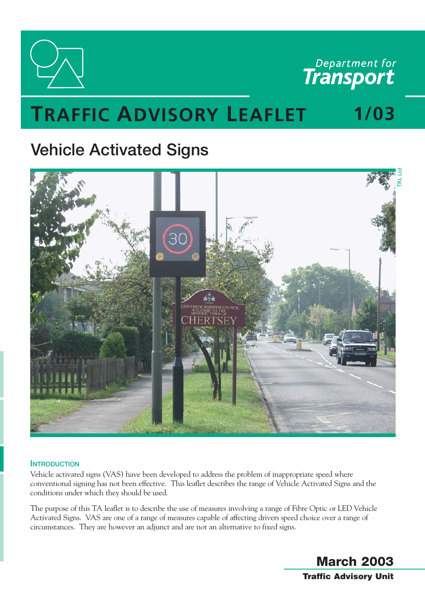

Department for

# **TRAFFIC ADVISORY LEAFLET** 1/03

# **Vehicle Activated Signs**



# **INTRODUCTION**

Vehicle activated signs (VAS) have been developed to address the problem of inappropriate speed where conventional signing has not been effective. This leaflet describes the range of Vehicle Activated Signs and the conditions under which they should be used.

The purpose of this TA leaflet is to describe the use of measures involving a range of Fibre Optic or LED Vehicle Activated Signs. VAS are one of a range of measures capable of affecting drivers speed choice over a range of circumstances. They are however an adjunct and are not an alternative to fixed signs.

> **March 2003 Traffic Advisory Unit**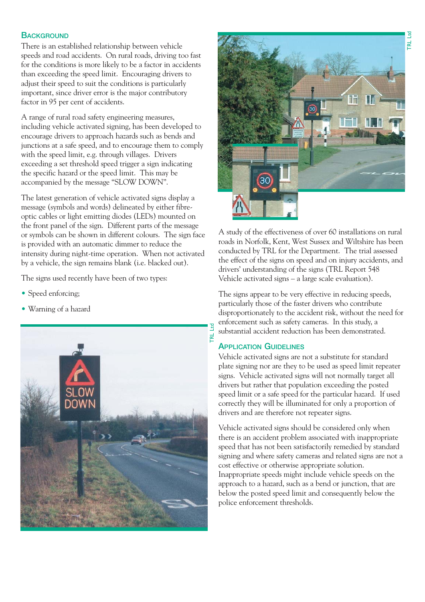### **BACKGROUND**

There is an established relationship between vehicle speeds and road accidents. On rural roads, driving too fast for the conditions is more likely to be a factor in accidents than exceeding the speed limit. Encouraging drivers to adjust their speed to suit the conditions is particularly important, since driver error is the major contributory factor in 95 per cent of accidents.

A range of rural road safety engineering measures, including vehicle activated signing, has been developed to encourage drivers to approach hazards such as bends and junctions at a safe speed, and to encourage them to comply with the speed limit, e.g. through villages. Drivers exceeding a set threshold speed trigger a sign indicating the specific hazard or the speed limit. This may be accompanied by the message "SLOW DOWN".

The latest generation of vehicle activated signs display a message (symbols and words) delineated by either fibreoptic cables or light emitting diodes (LEDs) mounted on the front panel of the sign. Different parts of the message or symbols can be shown in different colours. The sign face is provided with an automatic dimmer to reduce the intensity during night-time operation. When not activated by a vehicle, the sign remains blank (i.e. blacked out).

The signs used recently have been of two types:

- Speed enforcing;
- Warning of a hazard





A study of the effectiveness of over 60 installations on rural roads in Norfolk, Kent, West Sussex and Wiltshire has been conducted by TRL for the Department. The trial assessed the effect of the signs on speed and on injury accidents, and drivers' understanding of the signs (TRL Report 548 Vehicle activated signs – a large scale evaluation).

The signs appear to be very effective in reducing speeds, particularly those of the faster drivers who contribute disproportionately to the accident risk, without the need for enforcement such as safety cameras. In this study, a substantial accident reduction has been demonstrated.

# **APPLICATION GUIDELINES**

Vehicle activated signs are not a substitute for standard plate signing nor are they to be used as speed limit repeater signs. Vehicle activated signs will not normally target all drivers but rather that population exceeding the posted speed limit or a safe speed for the particular hazard. If used correctly they will be illuminated for only a proportion of drivers and are therefore not repeater signs.

Vehicle activated signs should be considered only when there is an accident problem associated with inappropriate speed that has not been satisfactorily remedied by standard signing and where safety cameras and related signs are not a cost effective or otherwise appropriate solution. Inappropriate speeds might include vehicle speeds on the approach to a hazard, such as a bend or junction, that are below the posted speed limit and consequently below the police enforcement thresholds.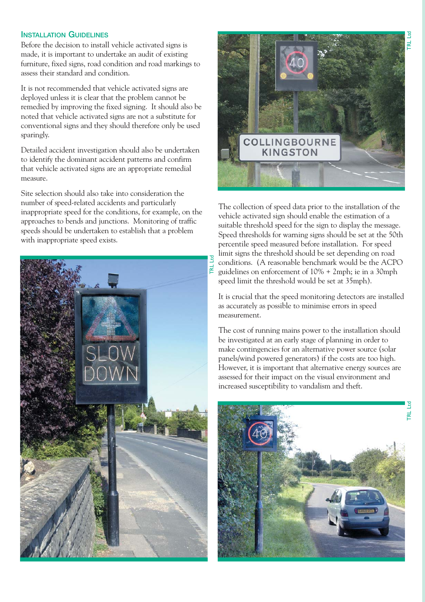## **INSTALLATION GUIDELINES**

Before the decision to install vehicle activated signs is made, it is important to undertake an audit of existing furniture, fixed signs, road condition and road markings to assess their standard and condition.

It is not recommended that vehicle activated signs are deployed unless it is clear that the problem cannot be remedied by improving the fixed signing. It should also be noted that vehicle activated signs are not a substitute for conventional signs and they should therefore only be used sparingly.

Detailed accident investigation should also be undertaken to identify the dominant accident patterns and confirm that vehicle activated signs are an appropriate remedial measure.

Site selection should also take into consideration the number of speed-related accidents and particularly inappropriate speed for the conditions, for example, on the approaches to bends and junctions. Monitoring of traffic speeds should be undertaken to establish that a problem with inappropriate speed exists.





The collection of speed data prior to the installation of the vehicle activated sign should enable the estimation of a suitable threshold speed for the sign to display the message. Speed thresholds for warning signs should be set at the 50th percentile speed measured before installation. For speed Funit signs the threshold should be set depending on road<br>conditions. (A reasonable benchmark would be the ACF<br> $\vec{E}$  guidelines on enforcement of 10% + 2mph; ie in a 30mph conditions. (A reasonable benchmark would be the ACPO guidelines on enforcement of 10% + 2mph; ie in a 30mph speed limit the threshold would be set at 35mph).

It is crucial that the speed monitoring detectors are installed as accurately as possible to minimise errors in speed measurement.

The cost of running mains power to the installation should be investigated at an early stage of planning in order to make contingencies for an alternative power source (solar panels/wind powered generators) if the costs are too high. However, it is important that alternative energy sources are assessed for their impact on the visual environment and increased susceptibility to vandalism and theft.

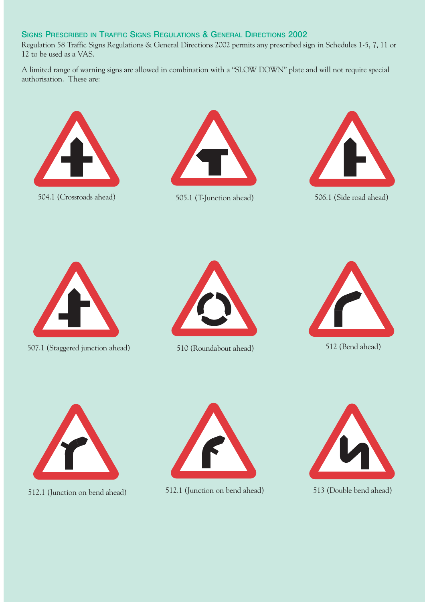# **SIGNS PRESCRIBED IN TRAFFIC SIGNS REGULATIONS & GENERAL DIRECTIONS 2002**

Regulation 58 Traffic Signs Regulations & General Directions 2002 permits any prescribed sign in Schedules 1-5, 7, 11 or 12 to be used as a VAS.

A limited range of warning signs are allowed in combination with a "SLOW DOWN" plate and will not require special authorisation. These are:





504.1 (Crossroads ahead) 505.1 (T-Junction ahead) 506.1 (Side road ahead)





507.1 (Staggered junction ahead) 510 (Roundabout ahead) 512 (Bend ahead)







512.1 (Junction on bend ahead) 512.1 (Junction on bend ahead) 513 (Double bend ahead)



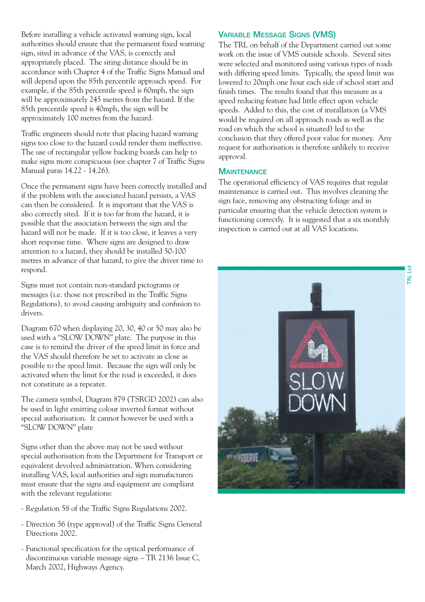Before installing a vehicle activated warning sign, local authorities should ensure that the permanent fixed warning sign, sited in advance of the VAS, is correctly and appropriately placed. The siting distance should be in accordance with Chapter 4 of the Traffic Signs Manual and will depend upon the 85th percentile approach speed. For example, if the 85th percentile speed is 60mph, the sign will be approximately 245 metres from the hazard. If the 85th percentile speed is 40mph, the sign will be approximately 100 metres from the hazard.

Traffic engineers should note that placing hazard warning signs too close to the hazard could render them ineffective. The use of rectangular yellow backing boards can help to make signs more conspicuous (see chapter 7 of Traffic Signs Manual paras 14.22 - 14.26).

Once the permanent signs have been correctly installed and if the problem with the associated hazard persists, a VAS can then be considered. It is important that the VAS is also correctly sited. If it is too far from the hazard, it is possible that the association between the sign and the hazard will not be made. If it is too close, it leaves a very short response time. Where signs are designed to draw attention to a hazard, they should be installed 50-100 metres in advance of that hazard, to give the driver time to respond.

Signs must not contain non-standard pictograms or messages (i.e. those not prescribed in the Traffic Signs Regulations), to avoid causing ambiguity and confusion to drivers.

Diagram 670 when displaying 20, 30, 40 or 50 may also be used with a "SLOW DOWN" plate. The purpose in this case is to remind the driver of the speed limit in force and the VAS should therefore be set to activate as close as possible to the speed limit. Because the sign will only be activated when the limit for the road is exceeded, it does not constitute as a repeater.

The camera symbol, Diagram 879 (TSRGD 2002) can also be used in light emitting colour inverted format without special authorisation. It cannot however be used with a "SLOW DOWN" plate

Signs other than the above may not be used without special authorisation from the Department for Transport or equivalent devolved administration. When considering installing VAS, local authorities and sign manufacturers must ensure that the signs and equipment are compliant with the relevant regulations:

- Regulation 58 of the Traffic Signs Regulations 2002.
- Direction 56 (type approval) of the Traffic Signs General Directions 2002.
- Functional specification for the optical performance of discontinuous variable message signs – TR 2136 Issue C, March 2002, Highways Agency.

#### **VARIABLE MESSAGE SIGNS (VMS)**

The TRL on behalf of the Department carried out some work on the issue of VMS outside schools. Several sites were selected and monitored using various types of roads with differing speed limits. Typically, the speed limit was lowered to 20mph one hour each side of school start and finish times. The results found that this measure as a speed reducing feature had little effect upon vehicle speeds. Added to this, the cost of installation (a VMS would be required on all approach roads as well as the road on which the school is situated) led to the conclusion that they offered poor value for money. Any request for authorisation is therefore unlikely to receive approval.

#### **MAINTENANCE**

The operational efficiency of VAS requires that regular maintenance is carried out. This involves cleaning the sign face, removing any obstructing foliage and in particular ensuring that the vehicle detection system is functioning correctly. It is suggested that a six monthly inspection is carried out at all VAS locations.